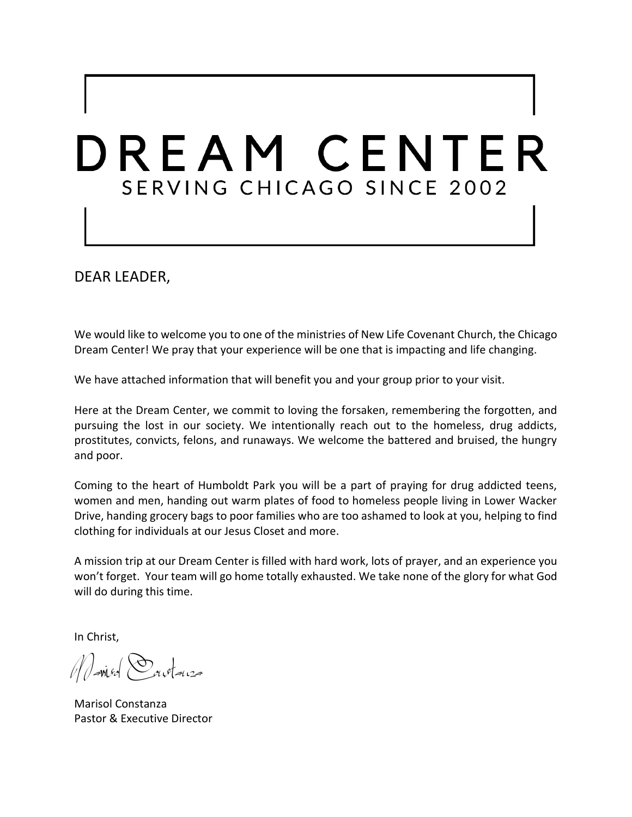# DREAM CENTER SERVING CHICAGO SINCE 2002

DEAR LEADER,

We would like to welcome you to one of the ministries of New Life Covenant Church, the Chicago Dream Center! We pray that your experience will be one that is impacting and life changing.

We have attached information that will benefit you and your group prior to your visit.

Here at the Dream Center, we commit to loving the forsaken, remembering the forgotten, and pursuing the lost in our society. We intentionally reach out to the homeless, drug addicts, prostitutes, convicts, felons, and runaways. We welcome the battered and bruised, the hungry and poor.

Coming to the heart of Humboldt Park you will be a part of praying for drug addicted teens, women and men, handing out warm plates of food to homeless people living in Lower Wacker Drive, handing grocery bags to poor families who are too ashamed to look at you, helping to find clothing for individuals at our Jesus Closet and more.

A mission trip at our Dream Center is filled with hard work, lots of prayer, and an experience you won't forget. Your team will go home totally exhausted. We take none of the glory for what God will do during this time.

In Christ,

Marisol Constanza

Marisol Constanza Pastor & Executive Director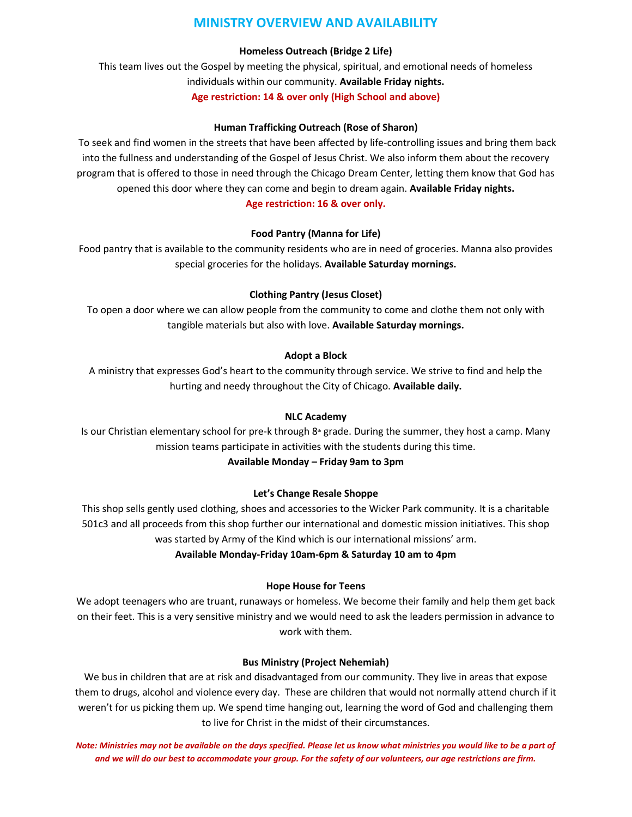# **MINISTRY OVERVIEW AND AVAILABILITY**

#### **Homeless Outreach (Bridge 2 Life)**

This team lives out the Gospel by meeting the physical, spiritual, and emotional needs of homeless individuals within our community. **Available Friday nights. Age restriction: 14 & over only (High School and above)**

#### **Human Trafficking Outreach (Rose of Sharon)**

To seek and find women in the streets that have been affected by life-controlling issues and bring them back into the fullness and understanding of the Gospel of Jesus Christ. We also inform them about the recovery program that is offered to those in need through the Chicago Dream Center, letting them know that God has opened this door where they can come and begin to dream again. **Available Friday nights.** 

#### **Age restriction: 16 & over only.**

#### **Food Pantry (Manna for Life)**

Food pantry that is available to the community residents who are in need of groceries. Manna also provides special groceries for the holidays. **Available Saturday mornings.**

#### **Clothing Pantry (Jesus Closet)**

To open a door where we can allow people from the community to come and clothe them not only with tangible materials but also with love. **Available Saturday mornings.**

#### **Adopt a Block**

A ministry that expresses God's heart to the community through service. We strive to find and help the hurting and needy throughout the City of Chicago. **Available daily.**

#### **NLC Academy**

Is our Christian elementary school for pre-k through 8<sup>th</sup> grade. During the summer, they host a camp. Many mission teams participate in activities with the students during this time.

#### **Available Monday – Friday 9am to 3pm**

#### **Let's Change Resale Shoppe**

This shop sells gently used clothing, shoes and accessories to the Wicker Park community. It is a charitable 501c3 and all proceeds from this shop further our international and domestic mission initiatives. This shop was started by Army of the Kind which is our international missions' arm.

#### **Available Monday-Friday 10am-6pm & Saturday 10 am to 4pm**

#### **Hope House for Teens**

We adopt teenagers who are truant, runaways or homeless. We become their family and help them get back on their feet. This is a very sensitive ministry and we would need to ask the leaders permission in advance to work with them.

#### **Bus Ministry (Project Nehemiah)**

We bus in children that are at risk and disadvantaged from our community. They live in areas that expose them to drugs, alcohol and violence every day. These are children that would not normally attend church if it weren't for us picking them up. We spend time hanging out, learning the word of God and challenging them to live for Christ in the midst of their circumstances.

*Note: Ministries may not be available on the days specified. Please let us know what ministries you would like to be a part of and we will do our best to accommodate your group. For the safety of our volunteers, our age restrictions are firm.*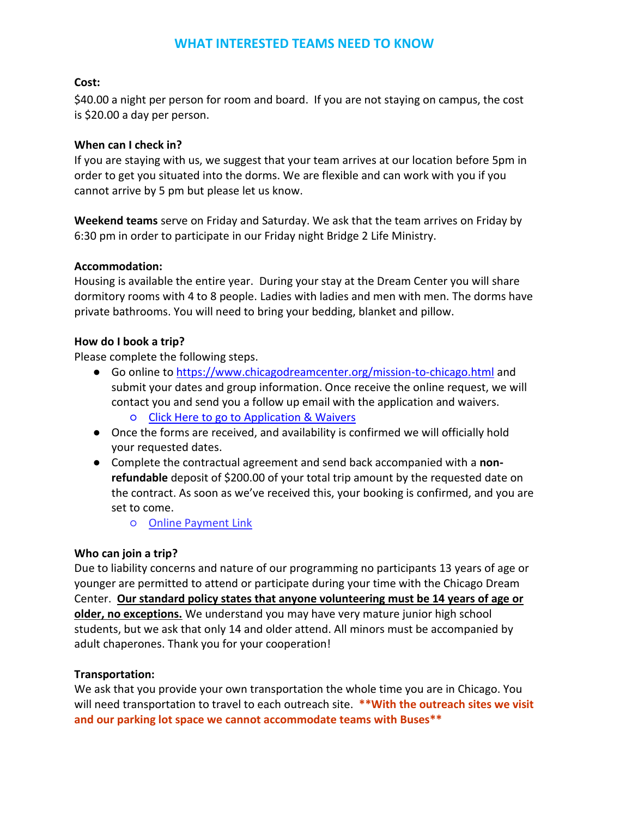# **WHAT INTERESTED TEAMS NEED TO KNOW**

## **Cost:**

\$40.00 a night per person for room and board. If you are not staying on campus, the cost is \$20.00 a day per person.

#### **When can I check in?**

If you are staying with us, we suggest that your team arrives at our location before 5pm in order to get you situated into the dorms. We are flexible and can work with you if you cannot arrive by 5 pm but please let us know.

**Weekend teams** serve on Friday and Saturday. We ask that the team arrives on Friday by 6:30 pm in order to participate in our Friday night Bridge 2 Life Ministry.

# **Accommodation:**

Housing is available the entire year. During your stay at the Dream Center you will share dormitory rooms with 4 to 8 people. Ladies with ladies and men with men. The dorms have private bathrooms. You will need to bring your bedding, blanket and pillow.

# **How do I book a trip?**

Please complete the following steps.

- Go online to<https://www.chicagodreamcenter.org/mission-to-chicago.html> and submit your dates and group information. Once receive the online request, we will contact you and send you a follow up email with the application and waivers.
	- [Click Here to go to Application &](https://www.chicagodreamcenter.org/mission-to-chicago.html) Waivers
- Once the forms are received, and availability is confirmed we will officially hold your requested dates.
- Complete the contractual agreement and send back accompanied with a **nonrefundable** deposit of \$200.00 of your total trip amount by the requested date on the contract. As soon as we've received this, your booking is confirmed, and you are set to come.
	- [Online Payment Link](https://www.paypal.com/cgi-bin/webscr?cmd=_s-xclick&hosted_button_id=PYMY4DF7VVXSS)

# **Who can join a trip?**

Due to liability concerns and nature of our programming no participants 13 years of age or younger are permitted to attend or participate during your time with the Chicago Dream Center. **Our standard policy states that anyone volunteering must be 14 years of age or older, no exceptions.** We understand you may have very mature junior high school students, but we ask that only 14 and older attend. All minors must be accompanied by adult chaperones. Thank you for your cooperation!

#### **Transportation:**

We ask that you provide your own transportation the whole time you are in Chicago. You will need transportation to travel to each outreach site. **\*\*With the outreach sites we visit and our parking lot space we cannot accommodate teams with Buses\*\***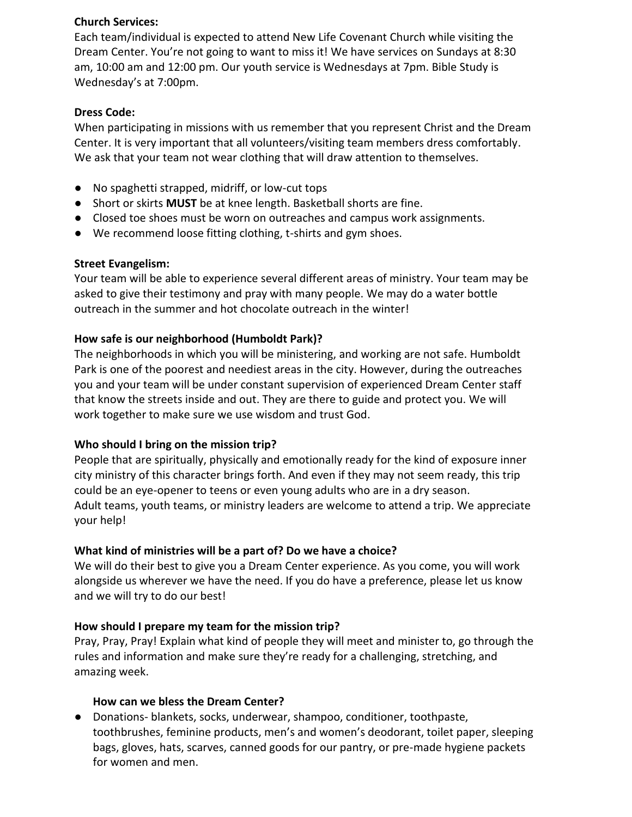#### **Church Services:**

Each team/individual is expected to attend New Life Covenant Church while visiting the Dream Center. You're not going to want to miss it! We have services on Sundays at 8:30 am, 10:00 am and 12:00 pm. Our youth service is Wednesdays at 7pm. Bible Study is Wednesday's at 7:00pm.

#### **Dress Code:**

When participating in missions with us remember that you represent Christ and the Dream Center. It is very important that all volunteers/visiting team members dress comfortably. We ask that your team not wear clothing that will draw attention to themselves.

- No spaghetti strapped, midriff, or low-cut tops
- Short or skirts **MUST** be at knee length. Basketball shorts are fine.
- Closed toe shoes must be worn on outreaches and campus work assignments.
- We recommend loose fitting clothing, t-shirts and gym shoes.

#### **Street Evangelism:**

Your team will be able to experience several different areas of ministry. Your team may be asked to give their testimony and pray with many people. We may do a water bottle outreach in the summer and hot chocolate outreach in the winter!

#### **How safe is our neighborhood (Humboldt Park)?**

The neighborhoods in which you will be ministering, and working are not safe. Humboldt Park is one of the poorest and neediest areas in the city. However, during the outreaches you and your team will be under constant supervision of experienced Dream Center staff that know the streets inside and out. They are there to guide and protect you. We will work together to make sure we use wisdom and trust God.

#### **Who should I bring on the mission trip?**

People that are spiritually, physically and emotionally ready for the kind of exposure inner city ministry of this character brings forth. And even if they may not seem ready, this trip could be an eye-opener to teens or even young adults who are in a dry season. Adult teams, youth teams, or ministry leaders are welcome to attend a trip. We appreciate your help!

#### **What kind of ministries will be a part of? Do we have a choice?**

We will do their best to give you a Dream Center experience. As you come, you will work alongside us wherever we have the need. If you do have a preference, please let us know and we will try to do our best!

#### **How should I prepare my team for the mission trip?**

Pray, Pray, Pray! Explain what kind of people they will meet and minister to, go through the rules and information and make sure they're ready for a challenging, stretching, and amazing week.

#### **How can we bless the Dream Center?**

● Donations- blankets, socks, underwear, shampoo, conditioner, toothpaste, toothbrushes, feminine products, men's and women's deodorant, toilet paper, sleeping bags, gloves, hats, scarves, canned goods for our pantry, or pre-made hygiene packets for women and men.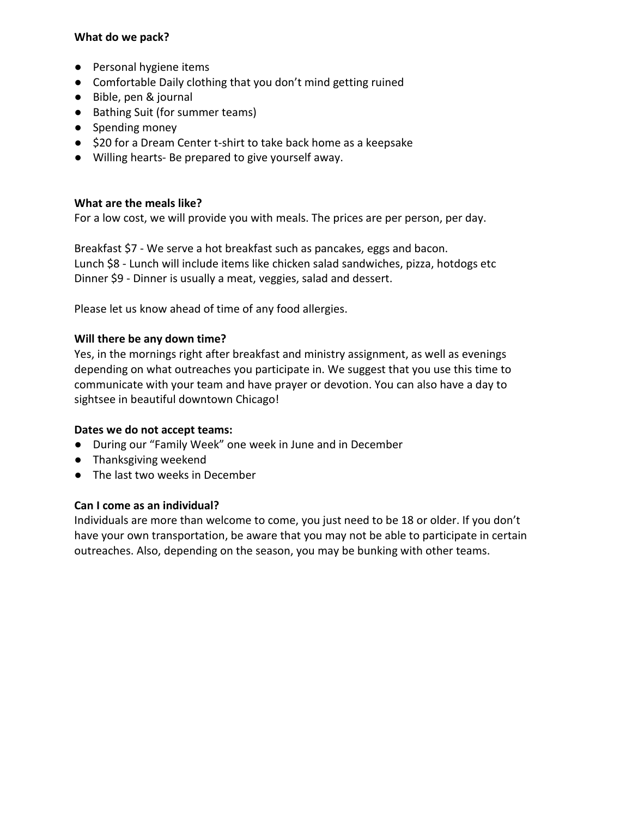## **What do we pack?**

- Personal hygiene items
- Comfortable Daily clothing that you don't mind getting ruined
- Bible, pen & journal
- Bathing Suit (for summer teams)
- Spending money
- \$20 for a Dream Center t-shirt to take back home as a keepsake
- Willing hearts- Be prepared to give yourself away.

# **What are the meals like?**

For a low cost, we will provide you with meals. The prices are per person, per day.

Breakfast \$7 - We serve a hot breakfast such as pancakes, eggs and bacon. Lunch \$8 - Lunch will include items like chicken salad sandwiches, pizza, hotdogs etc Dinner \$9 - Dinner is usually a meat, veggies, salad and dessert.

Please let us know ahead of time of any food allergies.

# **Will there be any down time?**

Yes, in the mornings right after breakfast and ministry assignment, as well as evenings depending on what outreaches you participate in. We suggest that you use this time to communicate with your team and have prayer or devotion. You can also have a day to sightsee in beautiful downtown Chicago!

#### **Dates we do not accept teams:**

- During our "Family Week" one week in June and in December
- Thanksgiving weekend
- The last two weeks in December

#### **Can I come as an individual?**

Individuals are more than welcome to come, you just need to be 18 or older. If you don't have your own transportation, be aware that you may not be able to participate in certain outreaches. Also, depending on the season, you may be bunking with other teams.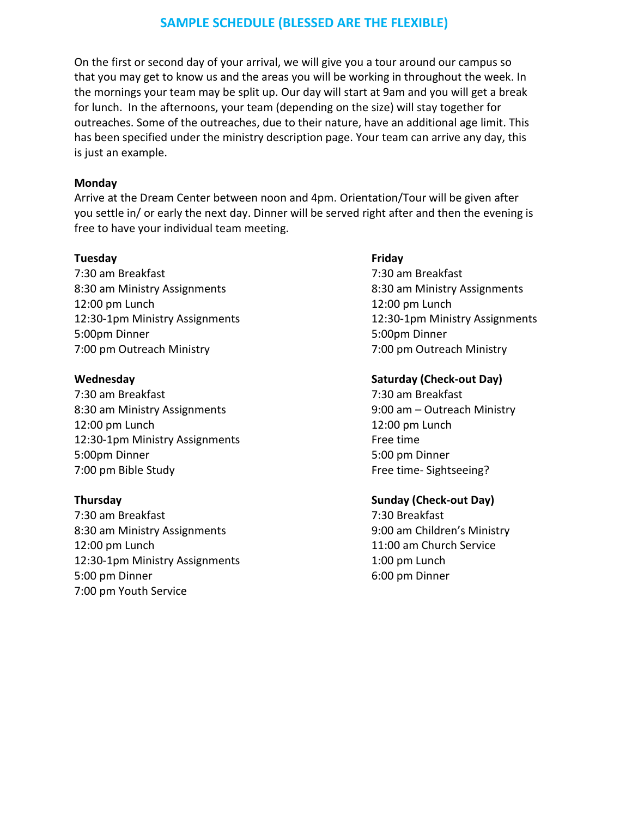# **SAMPLE SCHEDULE (BLESSED ARE THE FLEXIBLE)**

On the first or second day of your arrival, we will give you a tour around our campus so that you may get to know us and the areas you will be working in throughout the week. In the mornings your team may be split up. Our day will start at 9am and you will get a break for lunch. In the afternoons, your team (depending on the size) will stay together for outreaches. Some of the outreaches, due to their nature, have an additional age limit. This has been specified under the ministry description page. Your team can arrive any day, this is just an example.

#### **Monday**

Arrive at the Dream Center between noon and 4pm. Orientation/Tour will be given after you settle in/ or early the next day. Dinner will be served right after and then the evening is free to have your individual team meeting.

#### **Tuesday Friday**

7:30 am Breakfast 7:30 am Breakfast 8:30 am Ministry Assignments 8:30 am Ministry Assignments 12:00 pm Lunch 12:00 pm Lunch 5:00pm Dinner 5:00pm Dinner 7:00 pm Outreach Ministry 7:00 pm Outreach Ministry

7:30 am Breakfast 7:30 am Breakfast 8:30 am Ministry Assignments 9:00 am – Outreach Ministry 12:00 pm Lunch 12:00 pm Lunch 12:30-1pm Ministry Assignments Free time 5:00pm Dinner 5:00 pm Dinner 7:00 pm Bible Study **Free time-Sightseeing?** 

7:30 am Breakfast 7:30 Breakfast 8:30 am Ministry Assignments 9:00 am Children's Ministry 12:00 pm Lunch 11:00 am Church Service 12:30-1pm Ministry Assignments 1:00 pm Lunch 5:00 pm Dinner 6:00 pm Dinner 7:00 pm Youth Service

12:30-1pm Ministry Assignments 12:30-1pm Ministry Assignments

#### **Wednesday Saturday (Check-out Day)**

#### **Thursday Sunday (Check-out Day)**